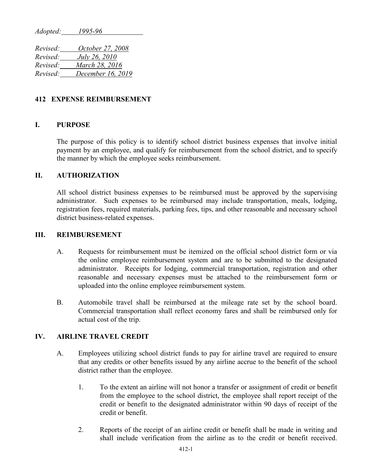*Adopted: 1995-96*

*Revised: October 27, 2008 Revised: July 26, 2010 Revised: March 28, 2016 Revised: December 16, 2019*

# **412 EXPENSE REIMBURSEMENT**

# **I. PURPOSE**

The purpose of this policy is to identify school district business expenses that involve initial payment by an employee, and qualify for reimbursement from the school district, and to specify the manner by which the employee seeks reimbursement.

# **II. AUTHORIZATION**

All school district business expenses to be reimbursed must be approved by the supervising administrator. Such expenses to be reimbursed may include transportation, meals, lodging, registration fees, required materials, parking fees, tips, and other reasonable and necessary school district business-related expenses.

# **III. REIMBURSEMENT**

- A. Requests for reimbursement must be itemized on the official school district form or via the online employee reimbursement system and are to be submitted to the designated administrator. Receipts for lodging, commercial transportation, registration and other reasonable and necessary expenses must be attached to the reimbursement form or uploaded into the online employee reimbursement system.
- B. Automobile travel shall be reimbursed at the mileage rate set by the school board. Commercial transportation shall reflect economy fares and shall be reimbursed only for actual cost of the trip.

# **IV. AIRLINE TRAVEL CREDIT**

- A. Employees utilizing school district funds to pay for airline travel are required to ensure that any credits or other benefits issued by any airline accrue to the benefit of the school district rather than the employee.
	- 1. To the extent an airline will not honor a transfer or assignment of credit or benefit from the employee to the school district, the employee shall report receipt of the credit or benefit to the designated administrator within 90 days of receipt of the credit or benefit.
	- 2. Reports of the receipt of an airline credit or benefit shall be made in writing and shall include verification from the airline as to the credit or benefit received.